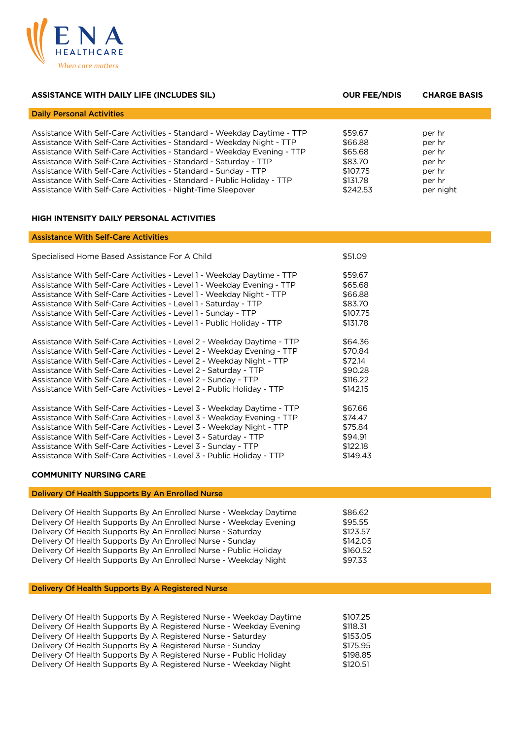

| <b>ASSISTANCE WITH DAILY LIFE (INCLUDES SIL)</b>                                                                                                                                                                                                                                                                                                                                                                                                                                                           | <b>OUR FEE/NDIS</b>                                                          | <b>CHARGE BASIS</b>                                                   |
|------------------------------------------------------------------------------------------------------------------------------------------------------------------------------------------------------------------------------------------------------------------------------------------------------------------------------------------------------------------------------------------------------------------------------------------------------------------------------------------------------------|------------------------------------------------------------------------------|-----------------------------------------------------------------------|
| <b>Daily Personal Activities</b>                                                                                                                                                                                                                                                                                                                                                                                                                                                                           |                                                                              |                                                                       |
| Assistance With Self-Care Activities - Standard - Weekday Daytime - TTP<br>Assistance With Self-Care Activities - Standard - Weekday Night - TTP<br>Assistance With Self-Care Activities - Standard - Weekday Evening - TTP<br>Assistance With Self-Care Activities - Standard - Saturday - TTP<br>Assistance With Self-Care Activities - Standard - Sunday - TTP<br>Assistance With Self-Care Activities - Standard - Public Holiday - TTP<br>Assistance With Self-Care Activities - Night-Time Sleepover | \$59.67<br>\$66.88<br>\$65.68<br>\$83.70<br>\$107.75<br>\$131.78<br>\$242.53 | per hr<br>per hr<br>per hr<br>per hr<br>per hr<br>per hr<br>per night |

## **HIGH INTENSITY DAILY PERSONAL ACTIVITIES**

# Assistance With Self-Care Activities

| Specialised Home Based Assistance For A Child                          | \$51.09  |
|------------------------------------------------------------------------|----------|
| Assistance With Self-Care Activities - Level 1 - Weekday Daytime - TTP | \$59.67  |
| Assistance With Self-Care Activities - Level 1 - Weekday Evening - TTP | \$65.68  |
| Assistance With Self-Care Activities - Level 1 - Weekday Night - TTP   | \$66.88  |
| Assistance With Self-Care Activities - Level 1 - Saturday - TTP        | \$83.70  |
| Assistance With Self-Care Activities - Level 1 - Sunday - TTP          | \$107.75 |
| Assistance With Self-Care Activities - Level 1 - Public Holiday - TTP  | \$131.78 |
| Assistance With Self-Care Activities - Level 2 - Weekday Daytime - TTP | \$64.36  |
| Assistance With Self-Care Activities - Level 2 - Weekday Evening - TTP | \$70.84  |
| Assistance With Self-Care Activities - Level 2 - Weekday Night - TTP   | \$72.14  |
| Assistance With Self-Care Activities - Level 2 - Saturday - TTP        | \$90.28  |
| Assistance With Self-Care Activities - Level 2 - Sunday - TTP          | \$116.22 |
| Assistance With Self-Care Activities - Level 2 - Public Holiday - TTP  | \$142.15 |
| Assistance With Self-Care Activities - Level 3 - Weekday Daytime - TTP | \$67.66  |
| Assistance With Self-Care Activities - Level 3 - Weekday Evening - TTP | \$74.47  |
| Assistance With Self-Care Activities - Level 3 - Weekday Night - TTP   | \$75.84  |
| Assistance With Self-Care Activities - Level 3 - Saturday - TTP        | \$94.91  |
| Assistance With Self-Care Activities - Level 3 - Sunday - TTP          | \$122.18 |
| Assistance With Self-Care Activities - Level 3 - Public Holiday - TTP  | \$149.43 |

### **COMMUNITY NURSING CARE**

| Delivery Of Health Supports By An Enrolled Nurse - Weekday Daytime | \$86.62  |
|--------------------------------------------------------------------|----------|
| Delivery Of Health Supports By An Enrolled Nurse - Weekday Evening | \$95.55  |
| Delivery Of Health Supports By An Enrolled Nurse - Saturday        | \$123.57 |
| Delivery Of Health Supports By An Enrolled Nurse - Sunday          | \$142.05 |
| Delivery Of Health Supports By An Enrolled Nurse - Public Holiday  | \$160.52 |
| Delivery Of Health Supports By An Enrolled Nurse - Weekday Night   | \$97.33  |
|                                                                    |          |

## Delivery Of Health Supports By A Registered Nurse

Delivery Of Health Supports By An Enrolled Nurse

| Delivery Of Health Supports By A Registered Nurse - Weekday Daytime | \$107.25 |
|---------------------------------------------------------------------|----------|
| Delivery Of Health Supports By A Registered Nurse - Weekday Evening | \$118.31 |
| Delivery Of Health Supports By A Registered Nurse - Saturday        | \$153.05 |
| Delivery Of Health Supports By A Registered Nurse - Sunday          | \$175.95 |
| Delivery Of Health Supports By A Registered Nurse - Public Holiday  | \$198.85 |
| Delivery Of Health Supports By A Registered Nurse - Weekday Night   | \$120.51 |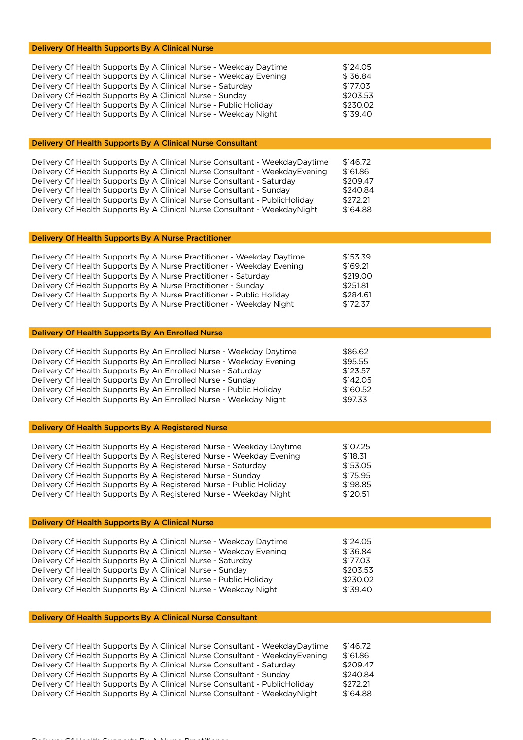| Delivery Of Health Supports By A Clinical Nurse                                                                                                                                                                                                                                                                                                                                                                                                                       |                                                                      |
|-----------------------------------------------------------------------------------------------------------------------------------------------------------------------------------------------------------------------------------------------------------------------------------------------------------------------------------------------------------------------------------------------------------------------------------------------------------------------|----------------------------------------------------------------------|
| Delivery Of Health Supports By A Clinical Nurse - Weekday Daytime<br>Delivery Of Health Supports By A Clinical Nurse - Weekday Evening<br>Delivery Of Health Supports By A Clinical Nurse - Saturday<br>Delivery Of Health Supports By A Clinical Nurse - Sunday<br>Delivery Of Health Supports By A Clinical Nurse - Public Holiday<br>Delivery Of Health Supports By A Clinical Nurse - Weekday Night                                                               | \$124.05<br>\$136.84<br>\$177.03<br>\$203.53<br>\$230.02<br>\$139.40 |
| Delivery Of Health Supports By A Clinical Nurse Consultant                                                                                                                                                                                                                                                                                                                                                                                                            |                                                                      |
| Delivery Of Health Supports By A Clinical Nurse Consultant - WeekdayDaytime<br>Delivery Of Health Supports By A Clinical Nurse Consultant - WeekdayEvening<br>Delivery Of Health Supports By A Clinical Nurse Consultant - Saturday<br>Delivery Of Health Supports By A Clinical Nurse Consultant - Sunday<br>Delivery Of Health Supports By A Clinical Nurse Consultant - PublicHoliday<br>Delivery Of Health Supports By A Clinical Nurse Consultant - WeekdayNight | \$146.72<br>\$161.86<br>\$209.47<br>\$240.84<br>\$272.21<br>\$164.88 |
| Delivery Of Health Supports By A Nurse Practitioner                                                                                                                                                                                                                                                                                                                                                                                                                   |                                                                      |
| Delivery Of Health Supports By A Nurse Practitioner - Weekday Daytime<br>Delivery Of Health Supports By A Nurse Practitioner - Weekday Evening<br>Delivery Of Health Supports By A Nurse Practitioner - Saturday<br>Delivery Of Health Supports By A Nurse Practitioner - Sunday<br>Delivery Of Health Supports By A Nurse Practitioner - Public Holiday<br>Delivery Of Health Supports By A Nurse Practitioner - Weekday Night                                       | \$153.39<br>\$169.21<br>\$219.00<br>\$251.81<br>\$284.61<br>\$172.37 |
| Delivery Of Health Supports By An Enrolled Nurse                                                                                                                                                                                                                                                                                                                                                                                                                      |                                                                      |
| Delivery Of Health Supports By An Enrolled Nurse - Weekday Daytime<br>Delivery Of Health Supports By An Enrolled Nurse - Weekday Evening<br>Delivery Of Health Supports By An Enrolled Nurse - Saturday<br>Delivery Of Health Supports By An Enrolled Nurse - Sunday<br>Delivery Of Health Supports By An Enrolled Nurse - Public Holiday<br>Delivery Of Health Supports By An Enrolled Nurse - Weekday Night                                                         | \$86.62<br>\$95.55<br>\$123.57<br>\$142.05<br>\$160.52<br>\$97.33    |
| Delivery Of Health Supports By A Registered Nurse                                                                                                                                                                                                                                                                                                                                                                                                                     |                                                                      |
| Delivery Of Health Supports By A Registered Nurse - Weekday Daytime<br>Delivery Of Health Supports By A Registered Nurse - Weekday Evening<br>Delivery Of Health Supports By A Registered Nurse - Saturday<br>Delivery Of Health Supports By A Registered Nurse - Sunday<br>Delivery Of Health Supports By A Registered Nurse - Public Holiday<br>Delivery Of Health Supports By A Registered Nurse - Weekday Night                                                   | \$107.25<br>\$118.31<br>\$153.05<br>\$175.95<br>\$198.85<br>\$120.51 |
| <b>Delivery Of Health Supports By A Clinical Nurse</b>                                                                                                                                                                                                                                                                                                                                                                                                                |                                                                      |
| Delivery Of Health Supports By A Clinical Nurse - Weekday Daytime<br>Delivery Of Health Supports By A Clinical Nurse - Weekday Evening<br>Delivery Of Health Supports By A Clinical Nurse - Saturday<br>Delivery Of Health Supports By A Clinical Nurse - Sunday<br>Delivery Of Health Supports By A Clinical Nurse - Public Holiday<br>Delivery Of Health Supports By A Clinical Nurse - Weekday Night                                                               | \$124.05<br>\$136.84<br>\$177.03<br>\$203.53<br>\$230.02<br>\$139.40 |
| Delivery Of Health Supports By A Clinical Nurse Consultant                                                                                                                                                                                                                                                                                                                                                                                                            |                                                                      |
|                                                                                                                                                                                                                                                                                                                                                                                                                                                                       |                                                                      |

| \$146.72 |
|----------|
| \$161.86 |
| \$209.47 |
| \$240.84 |
| \$272.21 |
| \$164.88 |
|          |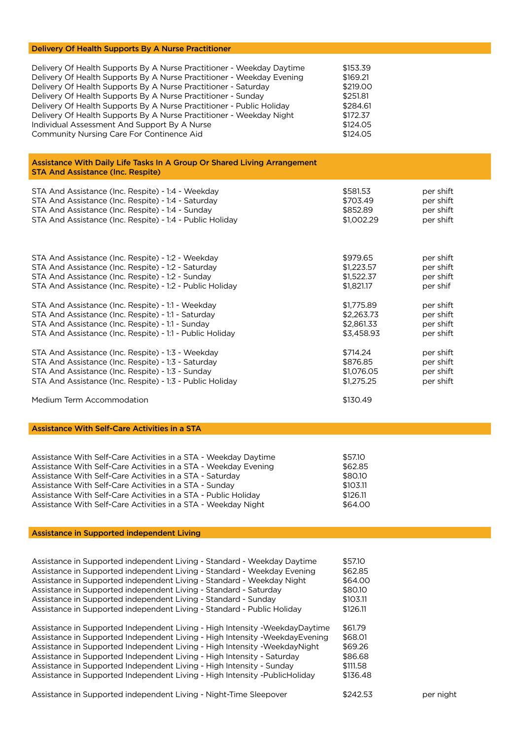#### Delivery Of Health Supports By A Nurse Practitioner

| Delivery Of Health Supports By A Nurse Practitioner - Weekday Daytime | \$153.39 |
|-----------------------------------------------------------------------|----------|
| Delivery Of Health Supports By A Nurse Practitioner - Weekday Evening | \$169.21 |
| Delivery Of Health Supports By A Nurse Practitioner - Saturday        | \$219,00 |
| Delivery Of Health Supports By A Nurse Practitioner - Sunday          | \$251.81 |
| Delivery Of Health Supports By A Nurse Practitioner - Public Holiday  | \$284.61 |
| Delivery Of Health Supports By A Nurse Practitioner - Weekday Night   | \$172.37 |
| Individual Assessment And Support By A Nurse                          | \$124.05 |
| Community Nursing Care For Continence Aid                             | \$124.05 |

Assistance With Daily Life Tasks In A Group Or Shared Living Arrangement STA And Assistance (Inc. Respite)

| STA And Assistance (Inc. Respite) - 1:4 - Weekday        | \$581.53   | per shift |
|----------------------------------------------------------|------------|-----------|
| STA And Assistance (Inc. Respite) - 1:4 - Saturday       | \$703.49   | per shift |
| STA And Assistance (Inc. Respite) - 1:4 - Sunday         | \$852.89   | per shift |
| STA And Assistance (Inc. Respite) - 1:4 - Public Holiday | \$1,002.29 | per shift |
| STA And Assistance (Inc. Respite) - 1:2 - Weekday        | \$979.65   | per shift |
| STA And Assistance (Inc. Respite) - 1:2 - Saturday       | \$1,223.57 | per shift |
| STA And Assistance (Inc. Respite) - 1:2 - Sunday         | \$1,522.37 | per shift |
| STA And Assistance (Inc. Respite) - 1:2 - Public Holiday | \$1,821.17 | per shif  |
| STA And Assistance (Inc. Respite) - 1:1 - Weekday        | \$1,775.89 | per shift |
| STA And Assistance (Inc. Respite) - 1:1 - Saturday       | \$2,263.73 | per shift |
| STA And Assistance (Inc. Respite) - 1:1 - Sunday         | \$2,861.33 | per shift |
| STA And Assistance (Inc. Respite) - 1:1 - Public Holiday | \$3,458.93 | per shift |
| STA And Assistance (Inc. Respite) - 1:3 - Weekday        | \$714.24   | per shift |
| STA And Assistance (Inc. Respite) - 1:3 - Saturday       | \$876.85   | per shift |
| STA And Assistance (Inc. Respite) - 1:3 - Sunday         | \$1,076.05 | per shift |
| STA And Assistance (Inc. Respite) - 1:3 - Public Holiday | \$1,275.25 | per shift |

Medium Term Accommodation **\$130.49** 

Assistance With Self-Care Activities in a STA

| Assistance With Self-Care Activities in a STA - Weekday Daytime | \$57.10  |
|-----------------------------------------------------------------|----------|
| Assistance With Self-Care Activities in a STA - Weekday Evening | \$62.85  |
| Assistance With Self-Care Activities in a STA - Saturday        | \$80.10  |
| Assistance With Self-Care Activities in a STA - Sunday          | \$103.11 |
| Assistance With Self-Care Activities in a STA - Public Holiday  | \$126.11 |
| Assistance With Self-Care Activities in a STA - Weekday Night   | \$64.00  |

#### Assistance in Supported independent Living

| Assistance in Supported independent Living - Standard - Weekday Daytime<br>Assistance in Supported independent Living - Standard - Weekday Evening<br>Assistance in Supported independent Living - Standard - Weekday Night<br>Assistance in Supported independent Living - Standard - Saturday<br>Assistance in Supported independent Living - Standard - Sunday<br>Assistance in Supported independent Living - Standard - Public Holiday                                     | \$57.10<br>\$62.85<br>\$64.00<br>\$80.10<br>\$103.11<br>\$126.11 |           |
|---------------------------------------------------------------------------------------------------------------------------------------------------------------------------------------------------------------------------------------------------------------------------------------------------------------------------------------------------------------------------------------------------------------------------------------------------------------------------------|------------------------------------------------------------------|-----------|
| Assistance in Supported Independent Living - High Intensity - Weekday Daytime<br>Assistance in Supported Independent Living - High Intensity - Weekday Evening<br>Assistance in Supported Independent Living - High Intensity - Weekday Night<br>Assistance in Supported Independent Living - High Intensity - Saturday<br>Assistance in Supported Independent Living - High Intensity - Sunday<br>Assistance in Supported Independent Living - High Intensity - Public Holiday | \$61.79<br>\$68.01<br>\$69.26<br>\$86.68<br>\$111.58<br>\$136.48 |           |
| Assistance in Supported independent Living - Night-Time Sleepover                                                                                                                                                                                                                                                                                                                                                                                                               | \$242.53                                                         | per night |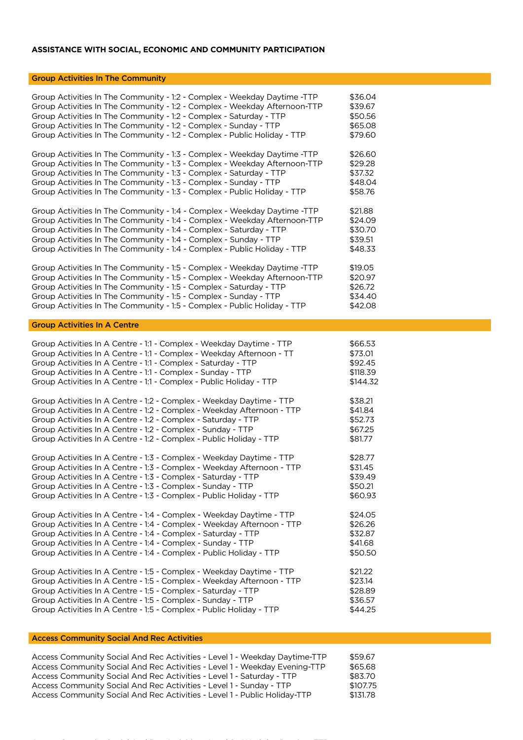## **ASSISTANCE WITH SOCIAL, ECONOMIC AND COMMUNITY PARTICIPATION**

## Group Activities In The Community

| Group Activities In The Community - 1:2 - Complex - Weekday Daytime -TTP  | \$36.04  |
|---------------------------------------------------------------------------|----------|
| Group Activities In The Community - 1:2 - Complex - Weekday Afternoon-TTP | \$39.67  |
| Group Activities In The Community - 1:2 - Complex - Saturday - TTP        | \$50.56  |
| Group Activities In The Community - 1:2 - Complex - Sunday - TTP          | \$65.08  |
| Group Activities In The Community - 1:2 - Complex - Public Holiday - TTP  | \$79.60  |
| Group Activities In The Community - 1:3 - Complex - Weekday Daytime -TTP  | \$26.60  |
| Group Activities In The Community - 1:3 - Complex - Weekday Afternoon-TTP | \$29.28  |
| Group Activities In The Community - 1:3 - Complex - Saturday - TTP        | \$37.32  |
| Group Activities In The Community - 1:3 - Complex - Sunday - TTP          | \$48.04  |
| Group Activities In The Community - 1:3 - Complex - Public Holiday - TTP  | \$58.76  |
| Group Activities In The Community - 1:4 - Complex - Weekday Daytime -TTP  | \$21.88  |
| Group Activities In The Community - 1:4 - Complex - Weekday Afternoon-TTP | \$24.09  |
| Group Activities In The Community - 1:4 - Complex - Saturday - TTP        | \$30.70  |
| Group Activities In The Community - 1:4 - Complex - Sunday - TTP          | \$39.51  |
| Group Activities In The Community - 1:4 - Complex - Public Holiday - TTP  | \$48.33  |
| Group Activities In The Community - 1:5 - Complex - Weekday Daytime -TTP  | \$19.05  |
| Group Activities In The Community - 1:5 - Complex - Weekday Afternoon-TTP | \$20.97  |
| Group Activities In The Community - 1:5 - Complex - Saturday - TTP        | \$26.72  |
| Group Activities In The Community - 1:5 - Complex - Sunday - TTP          | \$34.40  |
| Group Activities In The Community - 1:5 - Complex - Public Holiday - TTP  | \$42.08  |
| <b>Group Activities In A Centre</b>                                       |          |
| Group Activities In A Centre - 1:1 - Complex - Weekday Daytime - TTP      | \$66.53  |
| Group Activities In A Centre - 1:1 - Complex - Weekday Afternoon - TT     | \$73.01  |
| Group Activities In A Centre - 1:1 - Complex - Saturday - TTP             | \$92.45  |
| Group Activities In A Centre - 1:1 - Complex - Sunday - TTP               | \$118.39 |
| Group Activities In A Centre - 1:1 - Complex - Public Holiday - TTP       | \$144.32 |
| Group Activities In A Centre - 1:2 - Complex - Weekday Daytime - TTP      | \$38.21  |
| Group Activities In A Centre - 1:2 - Complex - Weekday Afternoon - TTP    | \$41.84  |
| Group Activities In A Centre - 1:2 - Complex - Saturday - TTP             | \$52.73  |
| Group Activities In A Centre - 1:2 - Complex - Sunday - TTP               | \$67.25  |
| Group Activities In A Centre - 1:2 - Complex - Public Holiday - TTP       | \$81.77  |
| Group Activities In A Centre - 1:3 - Complex - Weekday Daytime - TTP      | \$28.77  |
| Group Activities In A Centre - 1:3 - Complex - Weekday Afternoon - TTP    | \$31.45  |
| Group Activities In A Centre - 1:3 - Complex - Saturday - TTP             | \$39.49  |
| Group Activities In A Centre - 1:3 - Complex - Sunday - TTP               | \$50.21  |
| Group Activities In A Centre - 1:3 - Complex - Public Holiday - TTP       | \$60.93  |
| Group Activities In A Centre - 1:4 - Complex - Weekday Daytime - TTP      | \$24.05  |
| Group Activities In A Centre - 1:4 - Complex - Weekday Afternoon - TTP    | \$26.26  |
| Group Activities In A Centre - 1:4 - Complex - Saturday - TTP             | \$32.87  |
| Group Activities In A Centre - 1:4 - Complex - Sunday - TTP               | \$41.68  |
| Group Activities In A Centre - 1:4 - Complex - Public Holiday - TTP       | \$50.50  |
| Group Activities In A Centre - 1:5 - Complex - Weekday Daytime - TTP      | \$21.22  |
| Group Activities In A Centre - 1:5 - Complex - Weekday Afternoon - TTP    | \$23.14  |
| Group Activities In A Centre - 1:5 - Complex - Saturday - TTP             | \$28.89  |
| Group Activities In A Centre - 1:5 - Complex - Sunday - TTP               | \$36.57  |
| Group Activities In A Centre - 1:5 - Complex - Public Holiday - TTP       | \$44.25  |

### Access Community Social And Rec Activities

| Access Community Social And Rec Activities - Level 1 - Weekday Daytime-TTP | \$59.67  |
|----------------------------------------------------------------------------|----------|
| Access Community Social And Rec Activities - Level 1 - Weekday Evening-TTP | \$65.68  |
| Access Community Social And Rec Activities - Level 1 - Saturday - TTP      | \$83.70  |
| Access Community Social And Rec Activities - Level 1 - Sunday - TTP        | \$107.75 |
| Access Community Social And Rec Activities - Level 1 - Public Holiday-TTP  | \$131.78 |

Access Community Social And Rec Activities - Level 2 - Weekday Daytime-TTP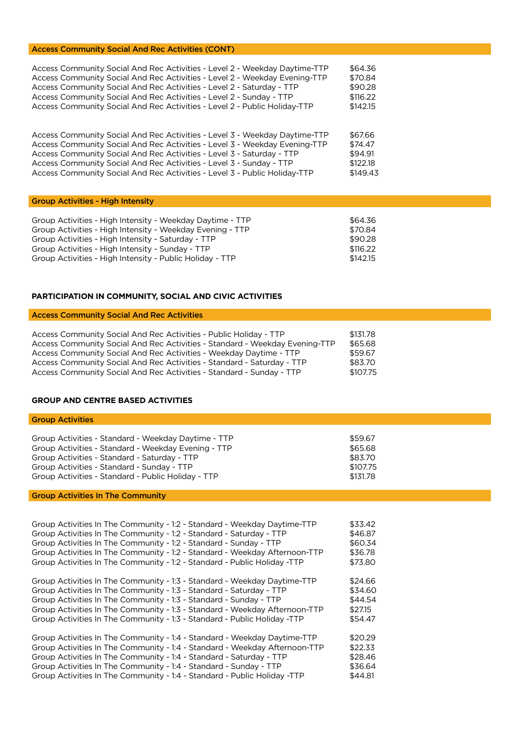#### Access Community Social And Rec Activities (CONT)

| Access Community Social And Rec Activities - Level 2 - Weekday Daytime-TTP | \$64.36  |
|----------------------------------------------------------------------------|----------|
| Access Community Social And Rec Activities - Level 2 - Weekday Evening-TTP | \$70.84  |
| Access Community Social And Rec Activities - Level 2 - Saturday - TTP      | \$90.28  |
| Access Community Social And Rec Activities - Level 2 - Sunday - TTP        | \$116.22 |
| Access Community Social And Rec Activities - Level 2 - Public Holiday-TTP  | \$142.15 |
|                                                                            |          |
|                                                                            |          |
| Access Community Social And Rec Activities - Level 3 - Weekday Daytime-TTP | \$67.66  |
| Access Community Social And Rec Activities - Level 3 - Weekday Evening-TTP | \$74.47  |

| Access Community Social And Rec Activities - Level 3 - Weekday Evening-TTP | 3/4.4/   |
|----------------------------------------------------------------------------|----------|
| Access Community Social And Rec Activities - Level 3 - Saturday - TTP      | \$94.91  |
| Access Community Social And Rec Activities - Level 3 - Sunday - TTP        | \$122.18 |
| Access Community Social And Rec Activities - Level 3 - Public Holiday-TTP  | \$149.43 |

### Group Activities - High Intensity

| Group Activities - High Intensity - Weekday Daytime - TTP | \$64.36  |
|-----------------------------------------------------------|----------|
| Group Activities - High Intensity - Weekday Evening - TTP | \$70.84  |
| Group Activities - High Intensity - Saturday - TTP        | \$90.28  |
| Group Activities - High Intensity - Sunday - TTP          | \$116.22 |
| Group Activities - High Intensity - Public Holiday - TTP  | \$142.15 |

## **PARTICIPATION IN COMMUNITY, SOCIAL AND CIVIC ACTIVITIES**

## Access Community Social And Rec Activities

| Access Community Social And Rec Activities - Public Holiday - TTP           | \$131.78 |
|-----------------------------------------------------------------------------|----------|
| Access Community Social And Rec Activities - Standard - Weekday Evening-TTP | \$65.68  |
| Access Community Social And Rec Activities - Weekday Daytime - TTP          | \$59.67  |
| Access Community Social And Rec Activities - Standard - Saturday - TTP      | \$83.70  |
| Access Community Social And Rec Activities - Standard - Sunday - TTP        | \$107.75 |

#### **GROUP AND CENTRE BASED ACTIVITIES**

Group Activities

| Group Activities - Standard - Weekday Daytime - TTP | \$59.67  |
|-----------------------------------------------------|----------|
| Group Activities - Standard - Weekday Evening - TTP | \$65.68  |
| Group Activities - Standard - Saturday - TTP        | \$83.70  |
| Group Activities - Standard - Sunday - TTP          | \$107.75 |
| Group Activities - Standard - Public Holiday - TTP  | \$131.78 |

### Group Activities In The Community

| Group Activities In The Community - 1:2 - Standard - Weekday Daytime-TTP   | \$33.42 |
|----------------------------------------------------------------------------|---------|
| Group Activities In The Community - 1:2 - Standard - Saturday - TTP        | \$46.87 |
| Group Activities In The Community - 1:2 - Standard - Sunday - TTP          | \$60.34 |
| Group Activities In The Community - 1:2 - Standard - Weekday Afternoon-TTP | \$36.78 |
| Group Activities In The Community - 1:2 - Standard - Public Holiday -TTP   | \$73.80 |
| Group Activities In The Community - 1:3 - Standard - Weekday Daytime-TTP   | \$24.66 |
| Group Activities In The Community - 1:3 - Standard - Saturday - TTP        | \$34.60 |
| Group Activities In The Community - 1:3 - Standard - Sunday - TTP          | \$44.54 |
| Group Activities In The Community - 1:3 - Standard - Weekday Afternoon-TTP | \$27.15 |
| Group Activities In The Community - 1:3 - Standard - Public Holiday -TTP   | \$54.47 |
| Group Activities In The Community - 1:4 - Standard - Weekday Daytime-TTP   | \$20.29 |
| Group Activities In The Community - 1:4 - Standard - Weekday Afternoon-TTP | \$22.33 |
| Group Activities In The Community - 1:4 - Standard - Saturday - TTP        | \$28.46 |
| Group Activities In The Community - 1:4 - Standard - Sunday - TTP          | \$36.64 |
| Group Activities In The Community - 1:4 - Standard - Public Holiday -TTP   | \$44.81 |